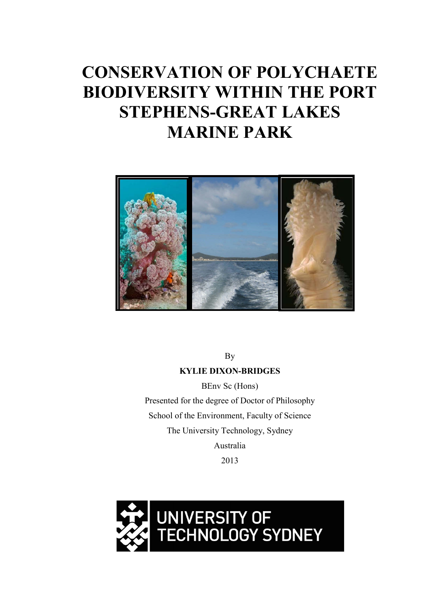# **CONSERVATION OF POLYCHAETE BIODIVERSITY WITHIN THE PORT STEPHENS-GREAT LAKES MARINE PARK**



By

### **KYLIE DIXON-BRIDGES**

BEnv Sc (Hons) Presented for the degree of Doctor of Philosophy School of the Environment, Faculty of Science The University Technology, Sydney Australia 2013

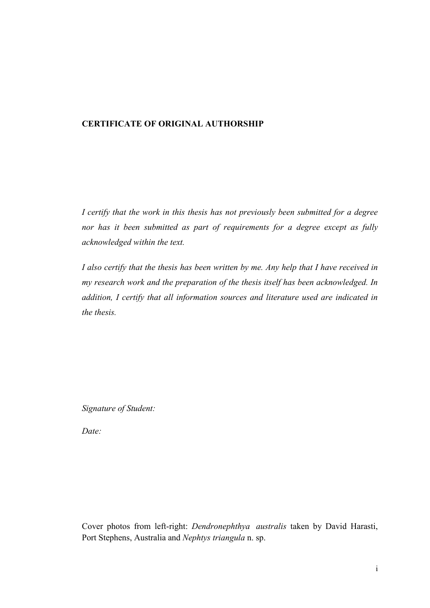### **CERTIFICATE OF ORIGINAL AUTHORSHIP**

*I certify that the work in this thesis has not previously been submitted for a degree nor has it been submitted as part of requirements for a degree except as fully acknowledged within the text.*

*I also certify that the thesis has been written by me. Any help that I have received in my research work and the preparation of the thesis itself has been acknowledged. In addition, I certify that all information sources and literature used are indicated in the thesis.*

*Signature of Student:*

*Date:*

Cover photos from left-right: *Dendronephthya australis* taken by David Harasti, Port Stephens, Australia and *Nephtys triangula* n. sp.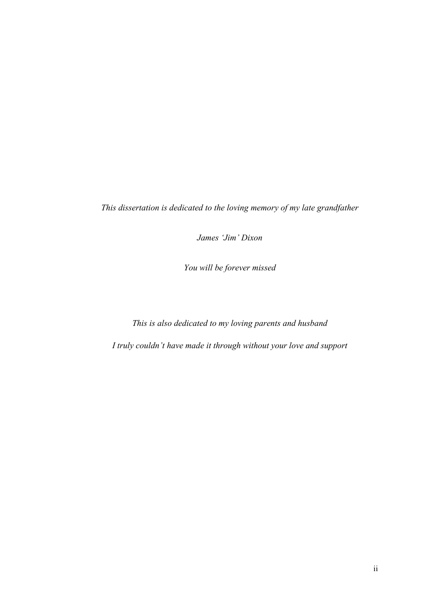*This dissertation is dedicated to the loving memory of my late grandfather* 

*James 'Jim' Dixon*

*You will be forever missed*

*This is also dedicated to my loving parents and husband* 

*I truly couldn't have made it through without your love and support*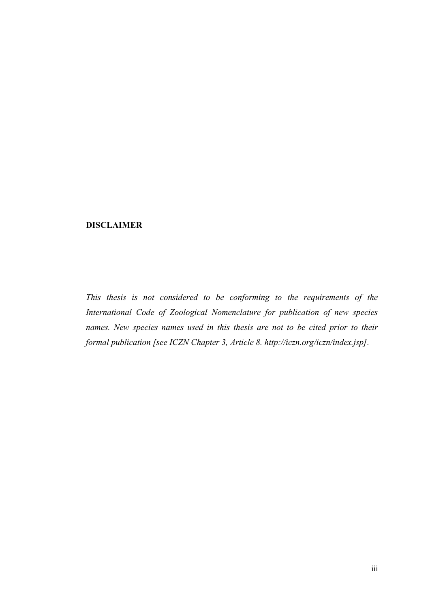#### <span id="page-3-0"></span>**DISCLAIMER**

*This thesis is not considered to be conforming to the requirements of the International Code of Zoological Nomenclature for publication of new species names. New species names used in this thesis are not to be cited prior to their formal publication [see ICZN Chapter 3, Article 8. http://iczn.org/iczn/index.jsp].*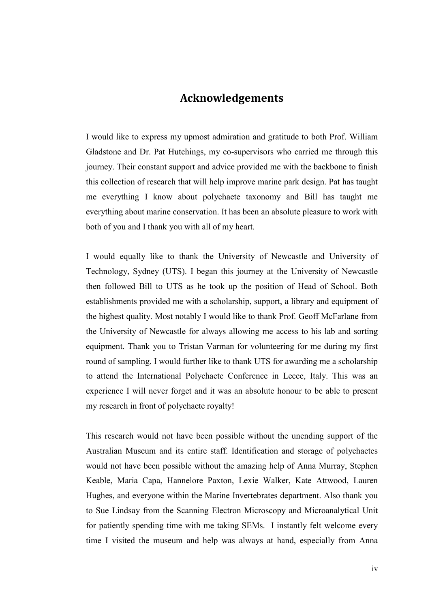## **Acknowledgements**

<span id="page-4-0"></span>I would like to express my upmost admiration and gratitude to both Prof. William Gladstone and Dr. Pat Hutchings, my co-supervisors who carried me through this journey. Their constant support and advice provided me with the backbone to finish this collection of research that will help improve marine park design. Pat has taught me everything I know about polychaete taxonomy and Bill has taught me everything about marine conservation. It has been an absolute pleasure to work with both of you and I thank you with all of my heart.

I would equally like to thank the University of Newcastle and University of Technology, Sydney (UTS). I began this journey at the University of Newcastle then followed Bill to UTS as he took up the position of Head of School. Both establishments provided me with a scholarship, support, a library and equipment of the highest quality. Most notably I would like to thank Prof. Geoff McFarlane from the University of Newcastle for always allowing me access to his lab and sorting equipment. Thank you to Tristan Varman for volunteering for me during my first round of sampling. I would further like to thank UTS for awarding me a scholarship to attend the International Polychaete Conference in Lecce, Italy. This was an experience I will never forget and it was an absolute honour to be able to present my research in front of polychaete royalty!

This research would not have been possible without the unending support of the Australian Museum and its entire staff. Identification and storage of polychaetes would not have been possible without the amazing help of Anna Murray, Stephen Keable, Maria Capa, Hannelore Paxton, Lexie Walker, Kate Attwood, Lauren Hughes, and everyone within the Marine Invertebrates department. Also thank you to Sue Lindsay from the Scanning Electron Microscopy and Microanalytical Unit for patiently spending time with me taking SEMs. I instantly felt welcome every time I visited the museum and help was always at hand, especially from Anna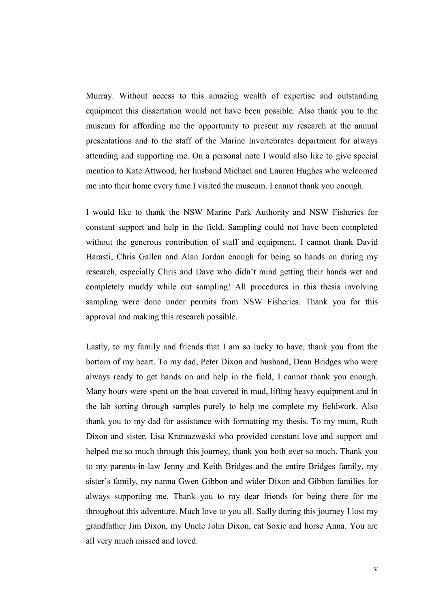Murray. Without access to this amazing wealth of expertise and outstanding equipment this dissertation would not have been possible. Also thank you to the museum for affording me the opportunity to present my research at the annual presentations and to the staff of the Marine Invertebrates department for always attending and supporting me. On a personal note I would also like to give special mention to Kate Attwood, her husband Michael and Lauren Hughes who welcomed me into their home every time I visited the museum. I cannot thank you enough.

I would like to thank the NSW Marine Park Authority and NSW Fisheries for constant support and help in the field. Sampling could not have been completed without the generous contribution of staff and equipment. I cannot thank David Harasti, Chris Gallen and Alan Jordan enough for being so hands on during my research, especially Chris and Dave who didn't mind getting their hands wet and completely muddy while out sampling! All procedures in this thesis involving sampling were done under permits from NSW Fisheries. Thank you for this approval and making this research possible.

Lastly, to my family and friends that I am so lucky to have, thank you from the bottom of my heart. To my dad, Peter Dixon and husband, Dean Bridges who were always ready to get hands on and help in the field, I cannot thank you enough. Many hours were spent on the boat covered in mud, lifting heavy equipment and in the lab sorting through samples purely to help me complete my fieldwork. Also thank you to my dad for assistance with formatting my thesis. To my mum, Ruth Dixon and sister, Lisa Kramazweski who provided constant love and support and helped me so much through this journey, thank you both ever so much. Thank you to my parents-in-law Jenny and Keith Bridges and the entire Bridges family, my sister's family, my nanna Gwen Gibbon and wider Dixon and Gibbon families for always supporting me. Thank you to my dear friends for being there for me throughout this adventure. Much love to you all. Sadly during this journey I lost my grandfather Jim Dixon, my Uncle John Dixon, cat Soxie and horse Anna. You are all very much missed and loved.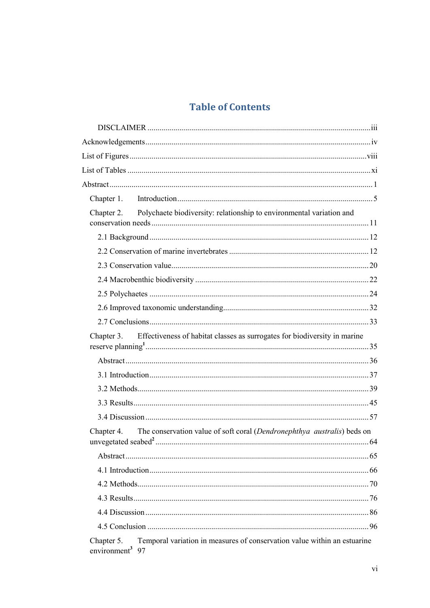## **Table of Contents**

| Chapter 2. Polychaete biodiversity: relationship to environmental variation and                                       |  |
|-----------------------------------------------------------------------------------------------------------------------|--|
|                                                                                                                       |  |
|                                                                                                                       |  |
|                                                                                                                       |  |
|                                                                                                                       |  |
|                                                                                                                       |  |
|                                                                                                                       |  |
|                                                                                                                       |  |
|                                                                                                                       |  |
| Effectiveness of habitat classes as surrogates for biodiversity in marine<br>Chapter 3.                               |  |
|                                                                                                                       |  |
|                                                                                                                       |  |
|                                                                                                                       |  |
|                                                                                                                       |  |
|                                                                                                                       |  |
| The conservation value of soft coral (Dendronephthya australis) beds on<br>Chapter 4.                                 |  |
|                                                                                                                       |  |
|                                                                                                                       |  |
|                                                                                                                       |  |
|                                                                                                                       |  |
|                                                                                                                       |  |
|                                                                                                                       |  |
|                                                                                                                       |  |
| Temporal variation in measures of conservation value within an estuarine<br>Chapter 5.<br>environment <sup>3</sup> 97 |  |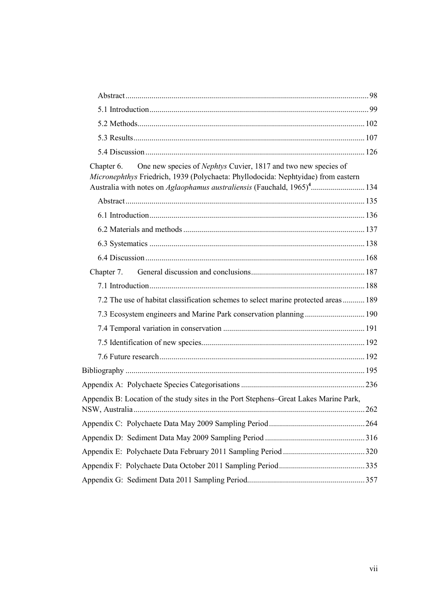| One new species of Nephtys Cuvier, 1817 and two new species of<br>Chapter 6.<br>Micronephthys Friedrich, 1939 (Polychaeta: Phyllodocida: Nephtyidae) from eastern |      |
|-------------------------------------------------------------------------------------------------------------------------------------------------------------------|------|
|                                                                                                                                                                   |      |
|                                                                                                                                                                   |      |
|                                                                                                                                                                   |      |
|                                                                                                                                                                   |      |
|                                                                                                                                                                   |      |
|                                                                                                                                                                   |      |
|                                                                                                                                                                   |      |
|                                                                                                                                                                   |      |
| 7.2 The use of habitat classification schemes to select marine protected areas  189                                                                               |      |
|                                                                                                                                                                   |      |
|                                                                                                                                                                   |      |
|                                                                                                                                                                   |      |
|                                                                                                                                                                   |      |
|                                                                                                                                                                   |      |
|                                                                                                                                                                   |      |
| Appendix B: Location of the study sites in the Port Stephens-Great Lakes Marine Park,<br>NSW, Australia                                                           | .262 |
|                                                                                                                                                                   |      |
|                                                                                                                                                                   |      |
|                                                                                                                                                                   |      |
|                                                                                                                                                                   |      |
|                                                                                                                                                                   |      |
|                                                                                                                                                                   |      |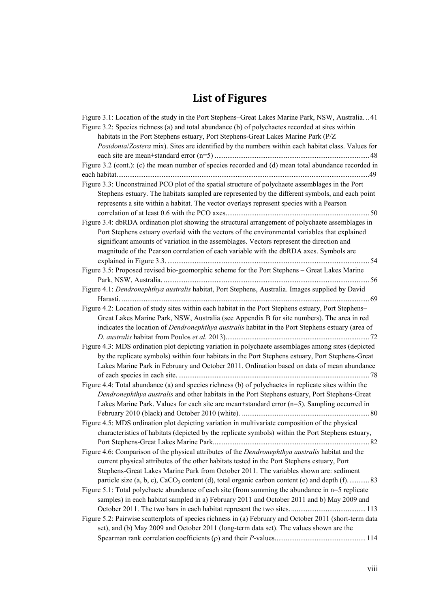## **List of Figures**

<span id="page-8-0"></span>

| Figure 3.1: Location of the study in the Port Stephens–Great Lakes Marine Park, NSW, Australia41                                                                                                                                                                                                                                                                                         |
|------------------------------------------------------------------------------------------------------------------------------------------------------------------------------------------------------------------------------------------------------------------------------------------------------------------------------------------------------------------------------------------|
| Figure 3.2: Species richness (a) and total abundance (b) of polychaetes recorded at sites within                                                                                                                                                                                                                                                                                         |
| habitats in the Port Stephens estuary, Port Stephens-Great Lakes Marine Park (P/Z                                                                                                                                                                                                                                                                                                        |
| Posidonia/Zostera mix). Sites are identified by the numbers within each habitat class. Values for                                                                                                                                                                                                                                                                                        |
|                                                                                                                                                                                                                                                                                                                                                                                          |
| Figure 3.2 (cont.): (c) the mean number of species recorded and (d) mean total abundance recorded in                                                                                                                                                                                                                                                                                     |
|                                                                                                                                                                                                                                                                                                                                                                                          |
| Figure 3.3: Unconstrained PCO plot of the spatial structure of polychaete assemblages in the Port                                                                                                                                                                                                                                                                                        |
| Stephens estuary. The habitats sampled are represented by the different symbols, and each point<br>represents a site within a habitat. The vector overlays represent species with a Pearson                                                                                                                                                                                              |
|                                                                                                                                                                                                                                                                                                                                                                                          |
|                                                                                                                                                                                                                                                                                                                                                                                          |
| Figure 3.4: dbRDA ordination plot showing the structural arrangement of polychaete assemblages in<br>Port Stephens estuary overlaid with the vectors of the environmental variables that explained<br>significant amounts of variation in the assemblages. Vectors represent the direction and<br>magnitude of the Pearson correlation of each variable with the dbRDA axes. Symbols are |
| Figure 3.5: Proposed revised bio-geomorphic scheme for the Port Stephens - Great Lakes Marine                                                                                                                                                                                                                                                                                            |
|                                                                                                                                                                                                                                                                                                                                                                                          |
| Figure 4.1: Dendronephthya australis habitat, Port Stephens, Australia. Images supplied by David                                                                                                                                                                                                                                                                                         |
|                                                                                                                                                                                                                                                                                                                                                                                          |
| Figure 4.2: Location of study sites within each habitat in the Port Stephens estuary, Port Stephens-                                                                                                                                                                                                                                                                                     |
| Great Lakes Marine Park, NSW, Australia (see Appendix B for site numbers). The area in red                                                                                                                                                                                                                                                                                               |
|                                                                                                                                                                                                                                                                                                                                                                                          |
| indicates the location of <i>Dendronephthya australis</i> habitat in the Port Stephens estuary (area of                                                                                                                                                                                                                                                                                  |
|                                                                                                                                                                                                                                                                                                                                                                                          |
| Figure 4.3: MDS ordination plot depicting variation in polychaete assemblages among sites (depicted                                                                                                                                                                                                                                                                                      |
| by the replicate symbols) within four habitats in the Port Stephens estuary, Port Stephens-Great                                                                                                                                                                                                                                                                                         |
| Lakes Marine Park in February and October 2011. Ordination based on data of mean abundance                                                                                                                                                                                                                                                                                               |
|                                                                                                                                                                                                                                                                                                                                                                                          |
| Figure 4.4: Total abundance (a) and species richness (b) of polychaetes in replicate sites within the                                                                                                                                                                                                                                                                                    |
| Dendronephthya australis and other habitats in the Port Stephens estuary, Port Stephens-Great                                                                                                                                                                                                                                                                                            |
| Lakes Marine Park. Values for each site are mean+standard error $(n=5)$ . Sampling occurred in                                                                                                                                                                                                                                                                                           |
|                                                                                                                                                                                                                                                                                                                                                                                          |
| Figure 4.5: MDS ordination plot depicting variation in multivariate composition of the physical                                                                                                                                                                                                                                                                                          |
| characteristics of habitats (depicted by the replicate symbols) within the Port Stephens estuary,                                                                                                                                                                                                                                                                                        |
|                                                                                                                                                                                                                                                                                                                                                                                          |
| Figure 4.6: Comparison of the physical attributes of the Dendronephthya australis habitat and the                                                                                                                                                                                                                                                                                        |
| current physical attributes of the other habitats tested in the Port Stephens estuary, Port                                                                                                                                                                                                                                                                                              |
| Stephens-Great Lakes Marine Park from October 2011. The variables shown are: sediment                                                                                                                                                                                                                                                                                                    |
| particle size (a, b, c), CaCO <sub>3</sub> content (d), total organic carbon content (e) and depth (f)83                                                                                                                                                                                                                                                                                 |
| Figure 5.1: Total polychaete abundance of each site (from summing the abundance in n=5 replicate                                                                                                                                                                                                                                                                                         |
| samples) in each habitat sampled in a) February 2011 and October 2011 and b) May 2009 and                                                                                                                                                                                                                                                                                                |
|                                                                                                                                                                                                                                                                                                                                                                                          |
| Figure 5.2: Pairwise scatterplots of species richness in (a) February and October 2011 (short-term data<br>set), and (b) May 2009 and October 2011 (long-term data set). The values shown are the                                                                                                                                                                                        |
|                                                                                                                                                                                                                                                                                                                                                                                          |
|                                                                                                                                                                                                                                                                                                                                                                                          |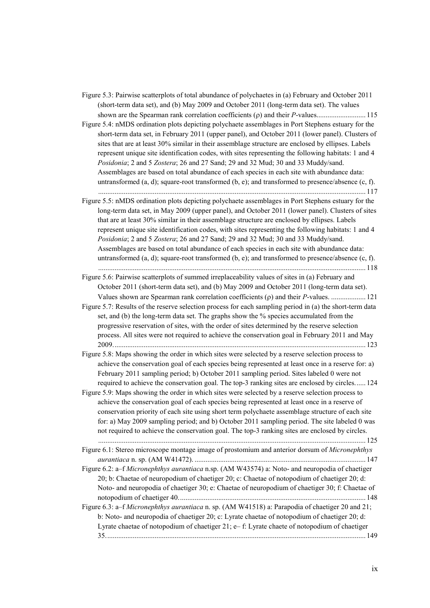Figure 5.3: Pairwise scatterplots of total abundance of polychaetes in (a) February and October 2011 (short-term data set), and (b) May 2009 and October 2011 (long-term data set). The values shown are the Spearman rank correlation coefficients (ρ) and their *P*-values........................... 115 Figure 5.4: nMDS ordination plots depicting polychaete assemblages in Port Stephens estuary for the short-term data set, in February 2011 (upper panel), and October 2011 (lower panel). Clusters of sites that are at least 30% similar in their assemblage structure are enclosed by ellipses. Labels represent unique site identification codes, with sites representing the following habitats: 1 and 4 *Posidonia*; 2 and 5 *Zostera*; 26 and 27 Sand; 29 and 32 Mud; 30 and 33 Muddy/sand. Assemblages are based on total abundance of each species in each site with abundance data: untransformed (a, d); square-root transformed (b, e); and transformed to presence/absence (c, f). ................................................................................................................................................... 117 Figure 5.5: nMDS ordination plots depicting polychaete assemblages in Port Stephens estuary for the long-term data set, in May 2009 (upper panel), and October 2011 (lower panel). Clusters of sites that are at least 30% similar in their assemblage structure are enclosed by ellipses. Labels represent unique site identification codes, with sites representing the following habitats: 1 and 4 *Posidonia*; 2 and 5 *Zostera*; 26 and 27 Sand; 29 and 32 Mud; 30 and 33 Muddy/sand. Assemblages are based on total abundance of each species in each site with abundance data: untransformed (a, d); square-root transformed (b, e); and transformed to presence/absence (c, f). ................................................................................................................................................... 118 Figure 5.6: Pairwise scatterplots of summed irreplaceability values of sites in (a) February and October 2011 (short-term data set), and (b) May 2009 and October 2011 (long-term data set). Values shown are Spearman rank correlation coefficients (ρ) and their *P*-values. ................... 121 Figure 5.7: Results of the reserve selection process for each sampling period in (a) the short-term data set, and (b) the long-term data set. The graphs show the % species accumulated from the progressive reservation of sites, with the order of sites determined by the reserve selection process. All sites were not required to achieve the conservation goal in February 2011 and May 2009........................................................................................................................................... 123 Figure 5.8: Maps showing the order in which sites were selected by a reserve selection process to achieve the conservation goal of each species being represented at least once in a reserve for: a) February 2011 sampling period; b) October 2011 sampling period. Sites labeled 0 were not required to achieve the conservation goal. The top-3 ranking sites are enclosed by circles...... 124 Figure 5.9: Maps showing the order in which sites were selected by a reserve selection process to achieve the conservation goal of each species being represented at least once in a reserve of conservation priority of each site using short term polychaete assemblage structure of each site for: a) May 2009 sampling period; and b) October 2011 sampling period. The site labeled 0 was not required to achieve the conservation goal. The top-3 ranking sites are enclosed by circles. ................................................................................................................................................... 125 Figure 6.1: Stereo microscope montage image of prostomium and anterior dorsum of *Micronephthys aurantiaca* n. sp. (AM W41472). .............................................................................................. 147 Figure 6.2: a–f *Micronephthys aurantiaca* n.sp. (AM W43574) a: Noto- and neuropodia of chaetiger 20; b: Chaetae of neuropodium of chaetiger 20; c: Chaetae of notopodium of chaetiger 20; d: Noto- and neuropodia of chaetiger 30; e: Chaetae of neuropodium of chaetiger 30; f: Chaetae of notopodium of chaetiger 40....................................................................................................... 148 Figure 6.3: a–f *Micronephthys aurantiaca* n. sp. (AM W41518) a: Parapodia of chaetiger 20 and 21; b: Noto- and neuropodia of chaetiger 20; c: Lyrate chaetae of notopodium of chaetiger 20; d: Lyrate chaetae of notopodium of chaetiger 21; e– f: Lyrate chaete of notopodium of chaetiger 35............................................................................................................................................... 149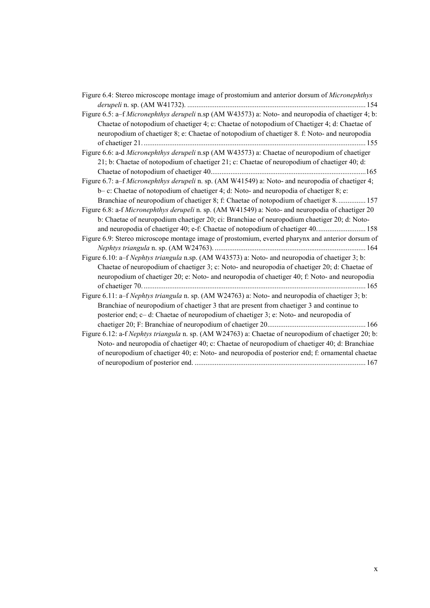| Figure 6.4: Stereo microscope montage image of prostomium and anterior dorsum of <i>Micronephthys</i>                                                                                                                                                                                              |
|----------------------------------------------------------------------------------------------------------------------------------------------------------------------------------------------------------------------------------------------------------------------------------------------------|
|                                                                                                                                                                                                                                                                                                    |
| Figure 6.5: a–f Micronephthys derupeli n.sp (AM W43573) a: Noto- and neuropodia of chaetiger 4; b:<br>Chaetae of notopodium of chaetiger 4; c: Chaetae of notopodium of Chaetiger 4; d: Chaetae of<br>neuropodium of chaetiger 8; e: Chaetae of notopodium of chaetiger 8. f: Noto- and neuropodia |
| Figure 6.6: a-d Micronephthys derupeli n.sp (AM W43573) a: Chaetae of neuropodium of chaetiger                                                                                                                                                                                                     |
| 21; b: Chaetae of notopodium of chaetiger 21; c: Chaetae of neuropodium of chaetiger 40; d:                                                                                                                                                                                                        |
| Figure 6.7: a–f Micronephthys derupeli n. sp. (AM W41549) a: Noto- and neuropodia of chaetiger 4;                                                                                                                                                                                                  |
| b-c: Chaetae of notopodium of chaetiger 4; d: Noto- and neuropodia of chaetiger 8; e:                                                                                                                                                                                                              |
| Branchiae of neuropodium of chaetiger 8; f: Chaetae of notopodium of chaetiger 8 157                                                                                                                                                                                                               |
| Figure 6.8: a-f Micronephthys derupeli n. sp. (AM W41549) a: Noto- and neuropodia of chaetiger 20                                                                                                                                                                                                  |
| b: Chaetae of neuropodium chaetiger 20; ci: Branchiae of neuropodium chaetiger 20; d: Noto-                                                                                                                                                                                                        |
|                                                                                                                                                                                                                                                                                                    |
| Figure 6.9: Stereo microscope montage image of prostomium, everted pharynx and anterior dorsum of                                                                                                                                                                                                  |
|                                                                                                                                                                                                                                                                                                    |
| Figure 6.10: a-f Nephtys triangula n.sp. (AM W43573) a: Noto- and neuropodia of chaetiger 3; b:                                                                                                                                                                                                    |
| Chaetae of neuropodium of chaetiger 3; c: Noto- and neuropodia of chaetiger 20; d: Chaetae of                                                                                                                                                                                                      |
| neuropodium of chaetiger 20; e: Noto- and neuropodia of chaetiger 40; f: Noto- and neuropodia                                                                                                                                                                                                      |
|                                                                                                                                                                                                                                                                                                    |
| Figure 6.11: a–f Nephtys triangula n. sp. (AM W24763) a: Noto- and neuropodia of chaetiger 3; b:                                                                                                                                                                                                   |
| Branchiae of neuropodium of chaetiger 3 that are present from chaetiger 3 and continue to<br>posterior end; c- d: Chaetae of neuropodium of chaetiger 3; e: Noto- and neuropodia of                                                                                                                |
|                                                                                                                                                                                                                                                                                                    |
| Figure 6.12: a-f Nephtys triangula n. sp. (AM W24763) a: Chaetae of neuropodium of chaetiger 20; b:                                                                                                                                                                                                |
| Noto- and neuropodia of chaetiger 40; c: Chaetae of neuropodium of chaetiger 40; d: Branchiae                                                                                                                                                                                                      |
| of neuropodium of chaetiger 40; e: Noto- and neuropodia of posterior end; f: ornamental chaetae                                                                                                                                                                                                    |
|                                                                                                                                                                                                                                                                                                    |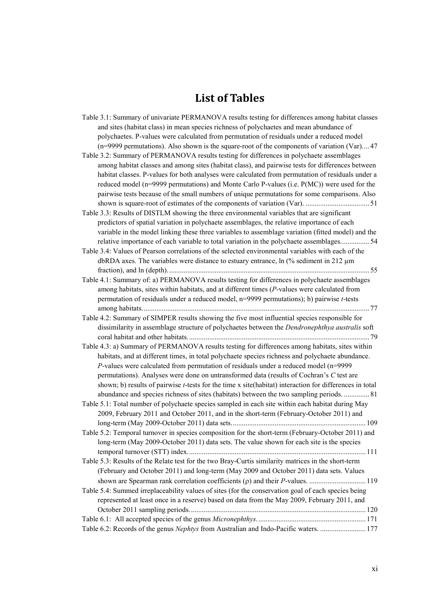## **List of Tables**

<span id="page-11-0"></span>

| Table 3.1: Summary of univariate PERMANOVA results testing for differences among habitat classes                |
|-----------------------------------------------------------------------------------------------------------------|
| and sites (habitat class) in mean species richness of polychaetes and mean abundance of                         |
| polychaetes. P-values were calculated from permutation of residuals under a reduced model                       |
| (n=9999 permutations). Also shown is the square-root of the components of variation (Var) 47                    |
| Table 3.2: Summary of PERMANOVA results testing for differences in polychaete assemblages                       |
| among habitat classes and among sites (habitat class), and pairwise tests for differences between               |
| habitat classes. P-values for both analyses were calculated from permutation of residuals under a               |
| reduced model ( $n=9999$ permutations) and Monte Carlo P-values (i.e. $P(MC)$ ) were used for the               |
| pairwise tests because of the small numbers of unique permutations for some comparisons. Also                   |
|                                                                                                                 |
| Table 3.3: Results of DISTLM showing the three environmental variables that are significant                     |
| predictors of spatial variation in polychaete assemblages, the relative importance of each                      |
| variable in the model linking these three variables to assemblage variation (fitted model) and the              |
| relative importance of each variable to total variation in the polychaete assemblages 54                        |
| Table 3.4: Values of Pearson correlations of the selected environmental variables with each of the              |
| dbRDA axes. The variables were distance to estuary entrance, ln (% sediment in 212 μm                           |
|                                                                                                                 |
| Table 4.1: Summary of: a) PERMANOVA results testing for differences in polychaete assemblages                   |
| among habitats, sites within habitats, and at different times (P-values were calculated from                    |
| permutation of residuals under a reduced model, n=9999 permutations); b) pairwise t-tests                       |
|                                                                                                                 |
| Table 4.2: Summary of SIMPER results showing the five most influential species responsible for                  |
| dissimilarity in assemblage structure of polychaetes between the <i>Dendronephthya australis</i> soft           |
|                                                                                                                 |
| Table 4.3: a) Summary of PERMANOVA results testing for differences among habitats, sites within                 |
| habitats, and at different times, in total polychaete species richness and polychaete abundance.                |
| $P$ -values were calculated from permutation of residuals under a reduced model (n=9999                         |
| permutations). Analyses were done on untransformed data (results of Cochran's C test are                        |
| shown; b) results of pairwise <i>t</i> -tests for the time x site(habitat) interaction for differences in total |
| abundance and species richness of sites (habitats) between the two sampling periods.  81                        |
| Table 5.1: Total number of polychaete species sampled in each site within each habitat during May               |
| 2009, February 2011 and October 2011, and in the short-term (February-October 2011) and                         |
|                                                                                                                 |
| Table 5.2: Temporal turnover in species composition for the short-term (February-October 2011) and              |
| long-term (May 2009-October 2011) data sets. The value shown for each site is the species                       |
|                                                                                                                 |
| Table 5.3: Results of the Relate test for the two Bray-Curtis similarity matrices in the short-term             |
| (February and October 2011) and long-term (May 2009 and October 2011) data sets. Values                         |
|                                                                                                                 |
| Table 5.4: Summed irreplaceability values of sites (for the conservation goal of each species being             |
| represented at least once in a reserve) based on data from the May 2009, February 2011, and                     |
|                                                                                                                 |
|                                                                                                                 |
| Table 6.2: Records of the genus Nephtys from Australian and Indo-Pacific waters.  177                           |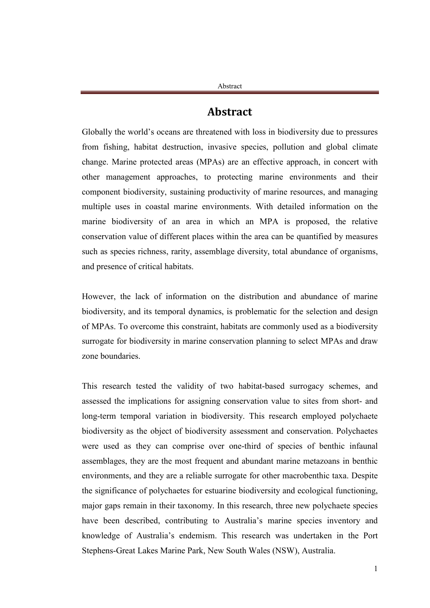### **Abstract**

<span id="page-12-0"></span>Globally the world's oceans are threatened with loss in biodiversity due to pressures from fishing, habitat destruction, invasive species, pollution and global climate change. Marine protected areas (MPAs) are an effective approach, in concert with other management approaches, to protecting marine environments and their component biodiversity, sustaining productivity of marine resources, and managing multiple uses in coastal marine environments. With detailed information on the marine biodiversity of an area in which an MPA is proposed, the relative conservation value of different places within the area can be quantified by measures such as species richness, rarity, assemblage diversity, total abundance of organisms, and presence of critical habitats.

However, the lack of information on the distribution and abundance of marine biodiversity, and its temporal dynamics, is problematic for the selection and design of MPAs. To overcome this constraint, habitats are commonly used as a biodiversity surrogate for biodiversity in marine conservation planning to select MPAs and draw zone boundaries.

This research tested the validity of two habitat-based surrogacy schemes, and assessed the implications for assigning conservation value to sites from short- and long-term temporal variation in biodiversity. This research employed polychaete biodiversity as the object of biodiversity assessment and conservation. Polychaetes were used as they can comprise over one-third of species of benthic infaunal assemblages, they are the most frequent and abundant marine metazoans in benthic environments, and they are a reliable surrogate for other macrobenthic taxa. Despite the significance of polychaetes for estuarine biodiversity and ecological functioning, major gaps remain in their taxonomy. In this research, three new polychaete species have been described, contributing to Australia's marine species inventory and knowledge of Australia's endemism. This research was undertaken in the Port Stephens-Great Lakes Marine Park, New South Wales (NSW), Australia.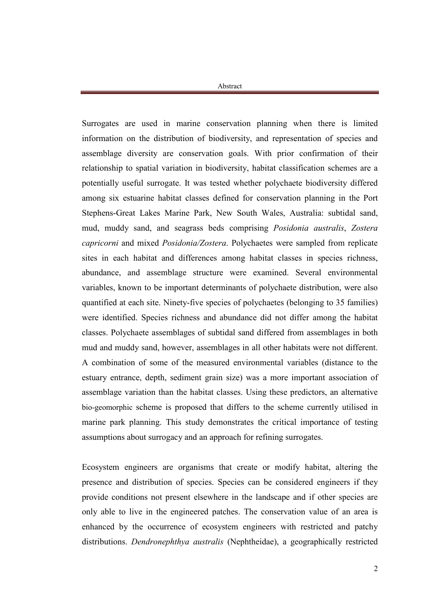Surrogates are used in marine conservation planning when there is limited information on the distribution of biodiversity, and representation of species and assemblage diversity are conservation goals. With prior confirmation of their relationship to spatial variation in biodiversity, habitat classification schemes are a potentially useful surrogate. It was tested whether polychaete biodiversity differed among six estuarine habitat classes defined for conservation planning in the Port Stephens-Great Lakes Marine Park, New South Wales, Australia: subtidal sand, mud, muddy sand, and seagrass beds comprising *Posidonia australis*, *Zostera capricorni* and mixed *Posidonia/Zostera*. Polychaetes were sampled from replicate sites in each habitat and differences among habitat classes in species richness, abundance, and assemblage structure were examined. Several environmental variables, known to be important determinants of polychaete distribution, were also quantified at each site. Ninety-five species of polychaetes (belonging to 35 families) were identified. Species richness and abundance did not differ among the habitat classes. Polychaete assemblages of subtidal sand differed from assemblages in both mud and muddy sand, however, assemblages in all other habitats were not different. A combination of some of the measured environmental variables (distance to the estuary entrance, depth, sediment grain size) was a more important association of assemblage variation than the habitat classes. Using these predictors, an alternative bio-geomorphic scheme is proposed that differs to the scheme currently utilised in marine park planning. This study demonstrates the critical importance of testing assumptions about surrogacy and an approach for refining surrogates.

Ecosystem engineers are organisms that create or modify habitat, altering the presence and distribution of species. Species can be considered engineers if they provide conditions not present elsewhere in the landscape and if other species are only able to live in the engineered patches. The conservation value of an area is enhanced by the occurrence of ecosystem engineers with restricted and patchy distributions. *Dendronephthya australis* (Nephtheidae), a geographically restricted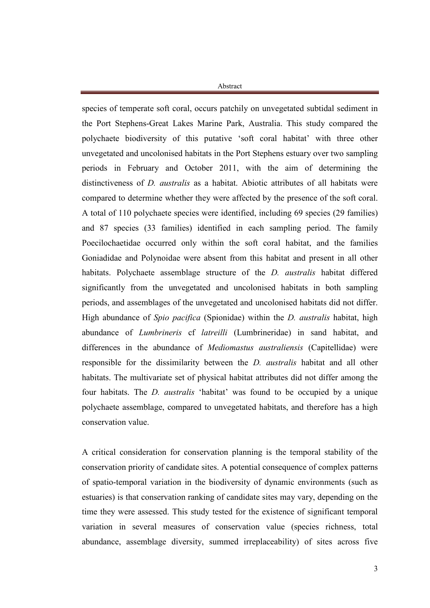species of temperate soft coral, occurs patchily on unvegetated subtidal sediment in the Port Stephens-Great Lakes Marine Park, Australia. This study compared the polychaete biodiversity of this putative 'soft coral habitat' with three other unvegetated and uncolonised habitats in the Port Stephens estuary over two sampling periods in February and October 2011, with the aim of determining the distinctiveness of *D. australis* as a habitat. Abiotic attributes of all habitats were compared to determine whether they were affected by the presence of the soft coral. A total of 110 polychaete species were identified, including 69 species (29 families) and 87 species (33 families) identified in each sampling period. The family Poecilochaetidae occurred only within the soft coral habitat, and the families Goniadidae and Polynoidae were absent from this habitat and present in all other habitats. Polychaete assemblage structure of the *D. australis* habitat differed significantly from the unvegetated and uncolonised habitats in both sampling periods, and assemblages of the unvegetated and uncolonised habitats did not differ. High abundance of *Spio pacifica* (Spionidae) within the *D. australis* habitat, high abundance of *Lumbrineris* cf *latreilli* (Lumbrineridae) in sand habitat, and differences in the abundance of *Mediomastus australiensis* (Capitellidae) were responsible for the dissimilarity between the *D. australis* habitat and all other habitats. The multivariate set of physical habitat attributes did not differ among the four habitats. The *D. australis* 'habitat' was found to be occupied by a unique polychaete assemblage, compared to unvegetated habitats, and therefore has a high conservation value.

A critical consideration for conservation planning is the temporal stability of the conservation priority of candidate sites. A potential consequence of complex patterns of spatio-temporal variation in the biodiversity of dynamic environments (such as estuaries) is that conservation ranking of candidate sites may vary, depending on the time they were assessed. This study tested for the existence of significant temporal variation in several measures of conservation value (species richness, total abundance, assemblage diversity, summed irreplaceability) of sites across five